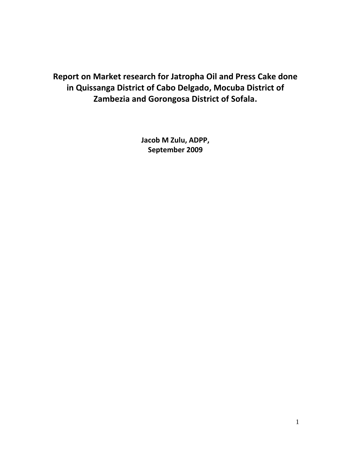**Report on Market research for Jatropha Oil and Press Cake done in Quissanga District of Cabo Delgado, Mocuba District of Zambezia and Gorongosa District of Sofala.**

> **Jacob M Zulu, ADPP, September 2009**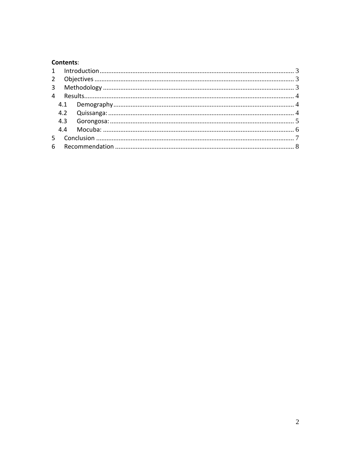### Contents:

| $2^{\circ}$    |     |  |  |
|----------------|-----|--|--|
| $\overline{3}$ |     |  |  |
| 4              |     |  |  |
|                |     |  |  |
|                |     |  |  |
|                |     |  |  |
|                | 4.4 |  |  |
|                |     |  |  |
| 6              |     |  |  |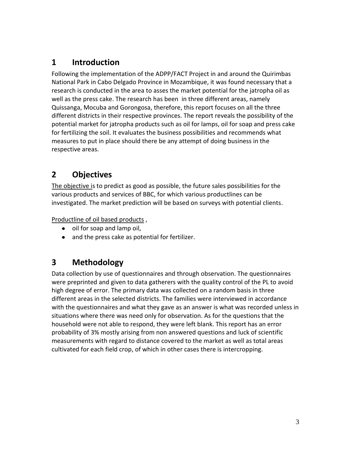## <span id="page-2-0"></span>**1 Introduction**

Following the implementation of the ADPP/FACT Project in and around the Quirimbas National Park in Cabo Delgado Province in Mozambique, it was found necessary that a research is conducted in the area to asses the market potential for the jatropha oil as well as the press cake. The research has been in three different areas, namely Quissanga, Mocuba and Gorongosa, therefore, this report focuses on all the three different districts in their respective provinces. The report reveals the possibility of the potential market for jatropha products such as oil for lamps, oil for soap and press cake for fertilizing the soil. It evaluates the business possibilities and recommends what measures to put in place should there be any attempt of doing business in the respective areas.

# <span id="page-2-1"></span>**2 Objectives**

The objective is to predict as good as possible, the future sales possibilities for the various products and services of BBC, for which various productlines can be investigated. The market prediction will be based on surveys with potential clients.

Productline of oil based products ,

- oil for soap and lamp oil,
- and the press cake as potential for fertilizer.

# <span id="page-2-2"></span>**3 Methodology**

Data collection by use of questionnaires and through observation. The questionnaires were preprinted and given to data gatherers with the quality control of the PL to avoid high degree of error. The primary data was collected on a random basis in three different areas in the selected districts. The families were interviewed in accordance with the questionnaires and what they gave as an answer is what was recorded unless in situations where there was need only for observation. As for the questions that the household were not able to respond, they were left blank. This report has an error probability of 3% mostly arising from non answered questions and luck of scientific measurements with regard to distance covered to the market as well as total areas cultivated for each field crop, of which in other cases there is intercropping.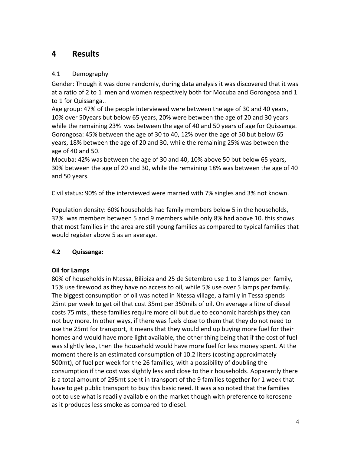## <span id="page-3-0"></span>**4 Results**

### <span id="page-3-1"></span>4.1 Demography

Gender: Though it was done randomly, during data analysis it was discovered that it was at a ratio of 2 to 1 men and women respectively both for Mocuba and Gorongosa and 1 to 1 for Quissanga..

Age group: 47% of the people interviewed were between the age of 30 and 40 years, 10% over 50years but below 65 years, 20% were between the age of 20 and 30 years while the remaining 23% was between the age of 40 and 50 years of age for Quissanga. Gorongosa: 45% between the age of 30 to 40, 12% over the age of 50 but below 65 years, 18% between the age of 20 and 30, while the remaining 25% was between the age of 40 and 50.

Mocuba: 42% was between the age of 30 and 40, 10% above 50 but below 65 years, 30% between the age of 20 and 30, while the remaining 18% was between the age of 40 and 50 years.

Civil status: 90% of the interviewed were married with 7% singles and 3% not known.

Population density: 60% households had family members below 5 in the households, 32% was members between 5 and 9 members while only 8% had above 10. this shows that most families in the area are still young families as compared to typical families that would register above 5 as an average.

### <span id="page-3-2"></span>**4.2 Quissanga:**

### **Oil for Lamps**

80% of households in Ntessa, Bilibiza and 25 de Setembro use 1 to 3 lamps per family, 15% use firewood as they have no access to oil, while 5% use over 5 lamps per family. The biggest consumption of oil was noted in Ntessa village, a family in Tessa spends 25mt per week to get oil that cost 35mt per 350mils of oil. On average a litre of diesel costs 75 mts., these families require more oil but due to economic hardships they can not buy more. In other ways, if there was fuels close to them that they do not need to use the 25mt for transport, it means that they would end up buying more fuel for their homes and would have more light available, the other thing being that if the cost of fuel was slightly less, then the household would have more fuel for less money spent. At the moment there is an estimated consumption of 10.2 liters (costing approximately 500mt), of fuel per week for the 26 families, with a possibility of doubling the consumption if the cost was slightly less and close to their households. Apparently there is a total amount of 295mt spent in transport of the 9 families together for 1 week that have to get public transport to buy this basic need. It was also noted that the families opt to use what is readily available on the market though with preference to kerosene as it produces less smoke as compared to diesel.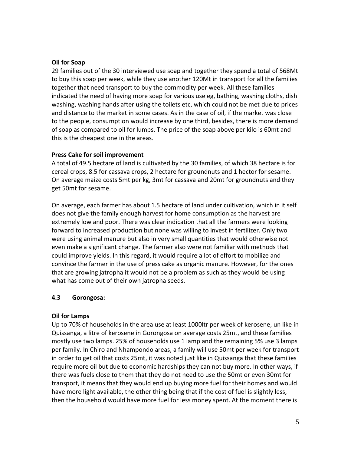#### **Oil for Soap**

29 families out of the 30 interviewed use soap and together they spend a total of 568Mt to buy this soap per week, while they use another 120Mt in transport for all the families together that need transport to buy the commodity per week. All these families indicated the need of having more soap for various use eg, bathing, washing cloths, dish washing, washing hands after using the toilets etc, which could not be met due to prices and distance to the market in some cases. As in the case of oil, if the market was close to the people, consumption would increase by one third, besides, there is more demand of soap as compared to oil for lumps. The price of the soap above per kilo is 60mt and this is the cheapest one in the areas.

#### **Press Cake for soil improvement**

A total of 49.5 hectare of land is cultivated by the 30 families, of which 38 hectare is for cereal crops, 8.5 for cassava crops, 2 hectare for groundnuts and 1 hector for sesame. On average maize costs 5mt per kg, 3mt for cassava and 20mt for groundnuts and they get 50mt for sesame.

On average, each farmer has about 1.5 hectare of land under cultivation, which in it self does not give the family enough harvest for home consumption as the harvest are extremely low and poor. There was clear indication that all the farmers were looking forward to increased production but none was willing to invest in fertilizer. Only two were using animal manure but also in very small quantities that would otherwise not even make a significant change. The farmer also were not familiar with methods that could improve yields. In this regard, it would require a lot of effort to mobilize and convince the farmer in the use of press cake as organic manure. However, for the ones that are growing jatropha it would not be a problem as such as they would be using what has come out of their own jatropha seeds.

### <span id="page-4-0"></span>**4.3 Gorongosa:**

### **Oil for Lamps**

Up to 70% of households in the area use at least 1000ltr per week of kerosene, un like in Quissanga, a litre of kerosene in Gorongosa on average costs 25mt, and these families mostly use two lamps. 25% of households use 1 lamp and the remaining 5% use 3 lamps per family. In Chiro and Nhampondo areas, a family will use 50mt per week for transport in order to get oil that costs 25mt, it was noted just like in Quissanga that these families require more oil but due to economic hardships they can not buy more. In other ways, if there was fuels close to them that they do not need to use the 50mt or even 30mt for transport, it means that they would end up buying more fuel for their homes and would have more light available, the other thing being that if the cost of fuel is slightly less, then the household would have more fuel for less money spent. At the moment there is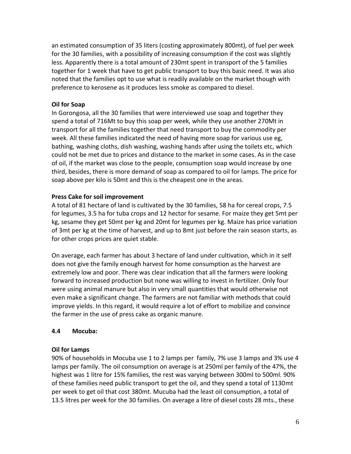an estimated consumption of 35 liters (costing approximately 800mt), of fuel per week for the 30 families, with a possibility of increasing consumption if the cost was slightly less. Apparently there is a total amount of 230mt spent in transport of the 5 families together for 1 week that have to get public transport to buy this basic need. It was also noted that the families opt to use what is readily available on the market though with preference to kerosene as it produces less smoke as compared to diesel.

### **Oil for Soap**

In Gorongosa, all the 30 families that were interviewed use soap and together they spend a total of 716Mt to buy this soap per week, while they use another 270Mt in transport for all the families together that need transport to buy the commodity per week. All these families indicated the need of having more soap for various use eg, bathing, washing cloths, dish washing, washing hands after using the toilets etc, which could not be met due to prices and distance to the market in some cases. As in the case of oil, if the market was close to the people, consumption soap would increase by one third, besides, there is more demand of soap as compared to oil for lamps. The price for soap above per kilo is 50mt and this is the cheapest one in the areas.

#### **Press Cake for soil improvement**

A total of 81 hectare of land is cultivated by the 30 families, 58 ha for cereal crops, 7.5 for legumes, 3.5 ha for tuba crops and 12 hector for sesame. For maize they get 5mt per kg, sesame they get 50mt per kg and 20mt for legumes per kg. Maize has price variation of 3mt per kg at the time of harvest, and up to 8mt just before the rain season starts, as for other crops prices are quiet stable.

On average, each farmer has about 3 hectare of land under cultivation, which in it self does not give the family enough harvest for home consumption as the harvest are extremely low and poor. There was clear indication that all the farmers were looking forward to increased production but none was willing to invest in fertilizer. Only four were using animal manure but also in very small quantities that would otherwise not even make a significant change. The farmers are not familiar with methods that could improve yields. In this regard, it would require a lot of effort to mobilize and convince the farmer in the use of press cake as organic manure.

### <span id="page-5-0"></span>**4.4 Mocuba:**

#### **Oil for Lamps**

90% of households in Mocuba use 1 to 2 lamps per family, 7% use 3 lamps and 3% use 4 lamps per family. The oil consumption on average is at 250ml per family of the 47%, the highest was 1 litre for 15% families, the rest was varying between 300ml to 500ml. 90% of these families need public transport to get the oil, and they spend a total of 1130mt per week to get oil that cost 380mt. Mucuba had the least oil consumption, a total of 13.5 litres per week for the 30 families. On average a litre of diesel costs 28 mts., these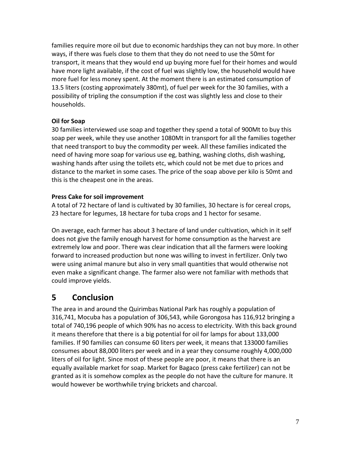families require more oil but due to economic hardships they can not buy more. In other ways, if there was fuels close to them that they do not need to use the 50mt for transport, it means that they would end up buying more fuel for their homes and would have more light available, if the cost of fuel was slightly low, the household would have more fuel for less money spent. At the moment there is an estimated consumption of 13.5 liters (costing approximately 380mt), of fuel per week for the 30 families, with a possibility of tripling the consumption if the cost was slightly less and close to their households.

### **Oil for Soap**

30 families interviewed use soap and together they spend a total of 900Mt to buy this soap per week, while they use another 1080Mt in transport for all the families together that need transport to buy the commodity per week. All these families indicated the need of having more soap for various use eg, bathing, washing cloths, dish washing, washing hands after using the toilets etc, which could not be met due to prices and distance to the market in some cases. The price of the soap above per kilo is 50mt and this is the cheapest one in the areas.

### **Press Cake for soil improvement**

A total of 72 hectare of land is cultivated by 30 families, 30 hectare is for cereal crops, 23 hectare for legumes, 18 hectare for tuba crops and 1 hector for sesame.

On average, each farmer has about 3 hectare of land under cultivation, which in it self does not give the family enough harvest for home consumption as the harvest are extremely low and poor. There was clear indication that all the farmers were looking forward to increased production but none was willing to invest in fertilizer. Only two were using animal manure but also in very small quantities that would otherwise not even make a significant change. The farmer also were not familiar with methods that could improve yields.

# <span id="page-6-0"></span>**5 Conclusion**

The area in and around the Quirimbas National Park has roughly a population of 316,741, Mocuba has a population of 306,543, while Gorongosa has 116,912 bringing a total of 740,196 people of which 90% has no access to electricity. With this back ground it means therefore that there is a big potential for oil for lamps for about 133,000 families. If 90 families can consume 60 liters per week, it means that 133000 families consumes about 88,000 liters per week and in a year they consume roughly 4,000,000 liters of oil for light. Since most of these people are poor, it means that there is an equally available market for soap. Market for Bagaco (press cake fertilizer) can not be granted as it is somehow complex as the people do not have the culture for manure. It would however be worthwhile trying brickets and charcoal.